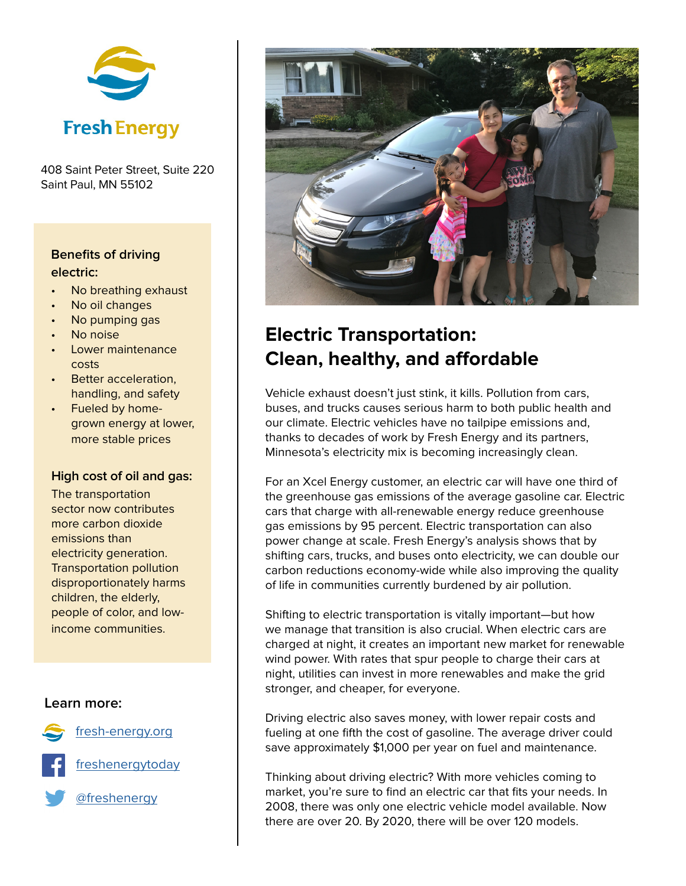

408 Saint Peter Street, Suite 220 Saint Paul, MN 55102

### **Benefits of driving electric:**

- No breathing exhaust
- No oil changes
- No pumping gas
- No noise
- Lower maintenance costs
- Better acceleration, handling, and safety
- Fueled by homegrown energy at lower, more stable prices

#### **High cost of oil and gas:**

The transportation sector now contributes more carbon dioxide emissions than electricity generation. Transportation pollution disproportionately harms children, the elderly, people of color, and lowincome communities.

#### **Learn more:**

[fresh-energy.org](http://fresh-energy.org)

[freshenergytoday](http://facebook.com/freshenergytoday/)

[@freshenergy](https://twitter.com/freshenergy)



# **Electric Transportation: Clean, healthy, and affordable**

Vehicle exhaust doesn't just stink, it kills. Pollution from cars, buses, and trucks causes serious harm to both public health and our climate. Electric vehicles have no tailpipe emissions and, thanks to decades of work by Fresh Energy and its partners, Minnesota's electricity mix is becoming increasingly clean.

For an Xcel Energy customer, an electric car will have one third of the greenhouse gas emissions of the average gasoline car. Electric cars that charge with all-renewable energy reduce greenhouse gas emissions by 95 percent. Electric transportation can also power change at scale. Fresh Energy's analysis shows that by shifting cars, trucks, and buses onto electricity, we can double our carbon reductions economy-wide while also improving the quality of life in communities currently burdened by air pollution.

Shifting to electric transportation is vitally important—but how we manage that transition is also crucial. When electric cars are charged at night, it creates an important new market for renewable wind power. With rates that spur people to charge their cars at night, utilities can invest in more renewables and make the grid stronger, and cheaper, for everyone.

Driving electric also saves money, with lower repair costs and fueling at one fifth the cost of gasoline. The average driver could save approximately \$1,000 per year on fuel and maintenance.

Thinking about driving electric? With more vehicles coming to market, you're sure to find an electric car that fits your needs. In 2008, there was only one electric vehicle model available. Now there are over 20. By 2020, there will be over 120 models.